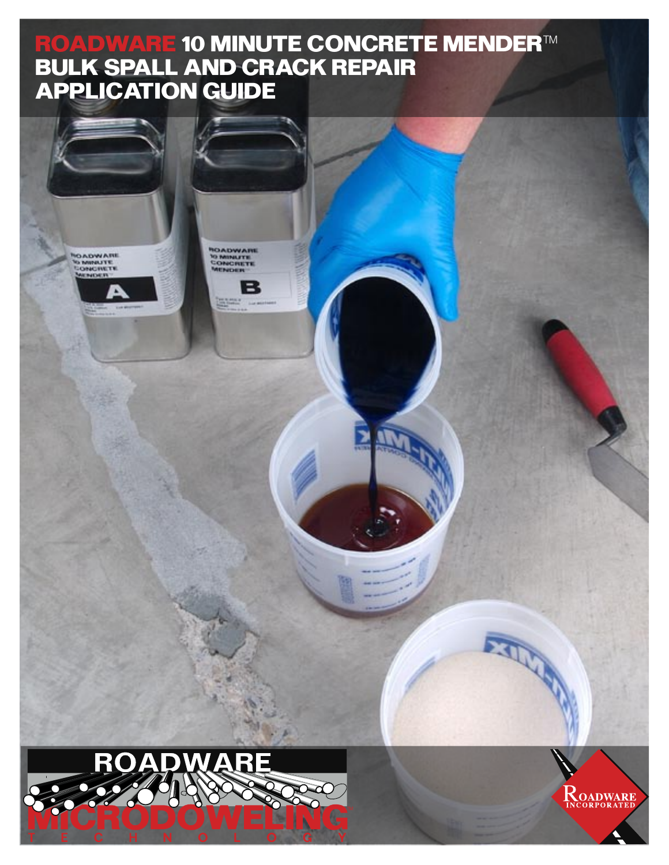## **ROADWARE 10 MINUTE CONCRETE MENDER™ BULK SPALL AND CRACK REPAIR APPLICATION GUIDE**

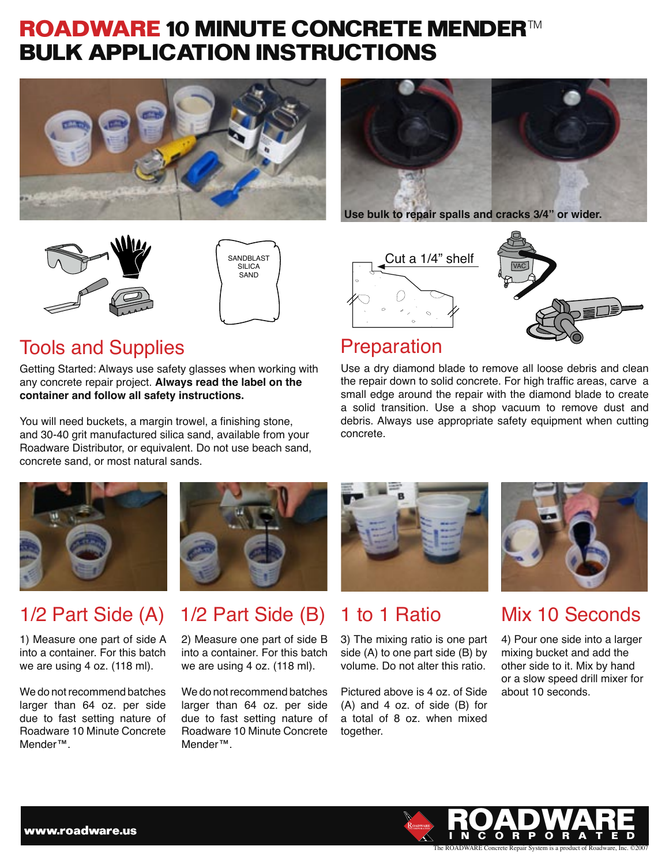## **ROADWARE 10 MINUTE CONCRETE MENDER™ BULK APPLICATION INSTRUCTIONS**





**Use bulk to repair spalls and cracks 3/4" or wider.**





### Tools and Supplies **Preparation**

Getting Started: Always use safety glasses when working with any concrete repair project. **Always read the label on the container and follow all safety instructions.**

You will need buckets, a margin trowel, a finishing stone, and 30-40 grit manufactured silica sand, available from your Roadware Distributor, or equivalent. Do not use beach sand, concrete sand, or most natural sands.





Use a dry diamond blade to remove all loose debris and clean the repair down to solid concrete. For high traffic areas, carve a small edge around the repair with the diamond blade to create a solid transition. Use a shop vacuum to remove dust and debris. Always use appropriate safety equipment when cutting concrete.



### 1/2 Part Side (A) 1/2 Part Side (B) 1 to 1 Ratio Mix 10 Seconds

1) Measure one part of side A into a container. For this batch we are using 4 oz. (118 ml).

We do not recommend batches larger than 64 oz. per side due to fast setting nature of Roadware 10 Minute Concrete Mender™.



# 2) Measure one part of side B

into a container. For this batch we are using 4 oz. (118 ml).

We do not recommend batches larger than 64 oz. per side due to fast setting nature of Roadware 10 Minute Concrete Mender™.



3) The mixing ratio is one part side (A) to one part side (B) by volume. Do not alter this ratio.

Pictured above is 4 oz. of Side (A) and 4 oz. of side (B) for a total of 8 oz. when mixed together.



4) Pour one side into a larger mixing bucket and add the other side to it. Mix by hand or a slow speed drill mixer for about 10 seconds.

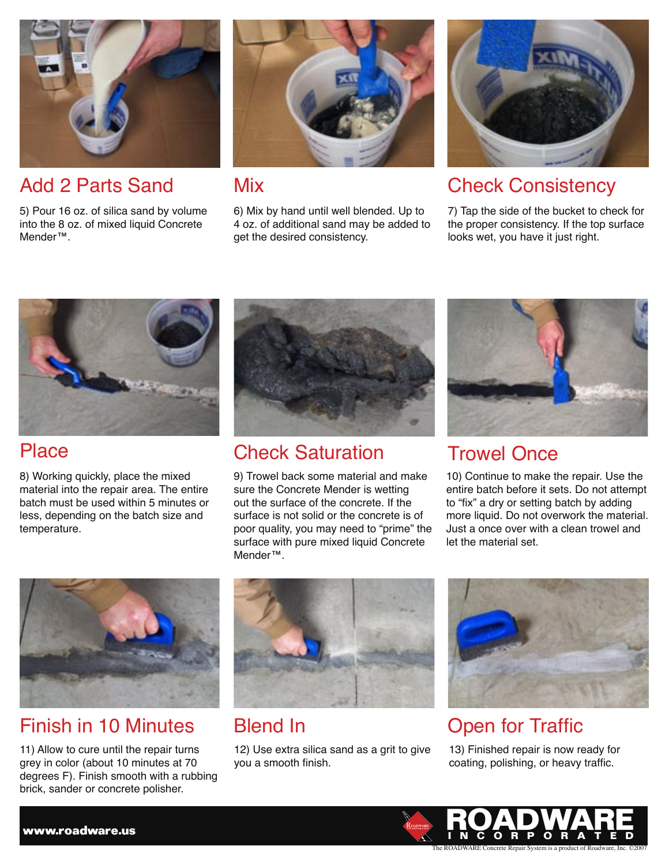

5) Pour 16 oz. of silica sand by volume into the 8 oz. of mixed liquid Concrete Mender™.



6) Mix by hand until well blended. Up to 4 oz. of additional sand may be added to get the desired consistency.



### Add 2 Parts Sand Mix Check Consistency

7) Tap the side of the bucket to check for the proper consistency. If the top surface looks wet, you have it just right.



8) Working quickly, place the mixed material into the repair area. The entire batch must be used within 5 minutes or less, depending on the batch size and temperature.



## Place Check Saturation Trowel Once

9) Trowel back some material and make sure the Concrete Mender is wetting out the surface of the concrete. If the surface is not solid or the concrete is of poor quality, you may need to "prime" the surface with pure mixed liquid Concrete Mender™.



10) Continue to make the repair. Use the entire batch before it sets. Do not attempt to "fix" a dry or setting batch by adding more liquid. Do not overwork the material. Just a once over with a clean trowel and let the material set.



### Finish in 10 Minutes Blend In Traffic

11) Allow to cure until the repair turns grey in color (about 10 minutes at 70 degrees F). Finish smooth with a rubbing brick, sander or concrete polisher.



12) Use extra silica sand as a grit to give you a smooth finish.



13) Finished repair is now ready for coating, polishing, or heavy traffic.